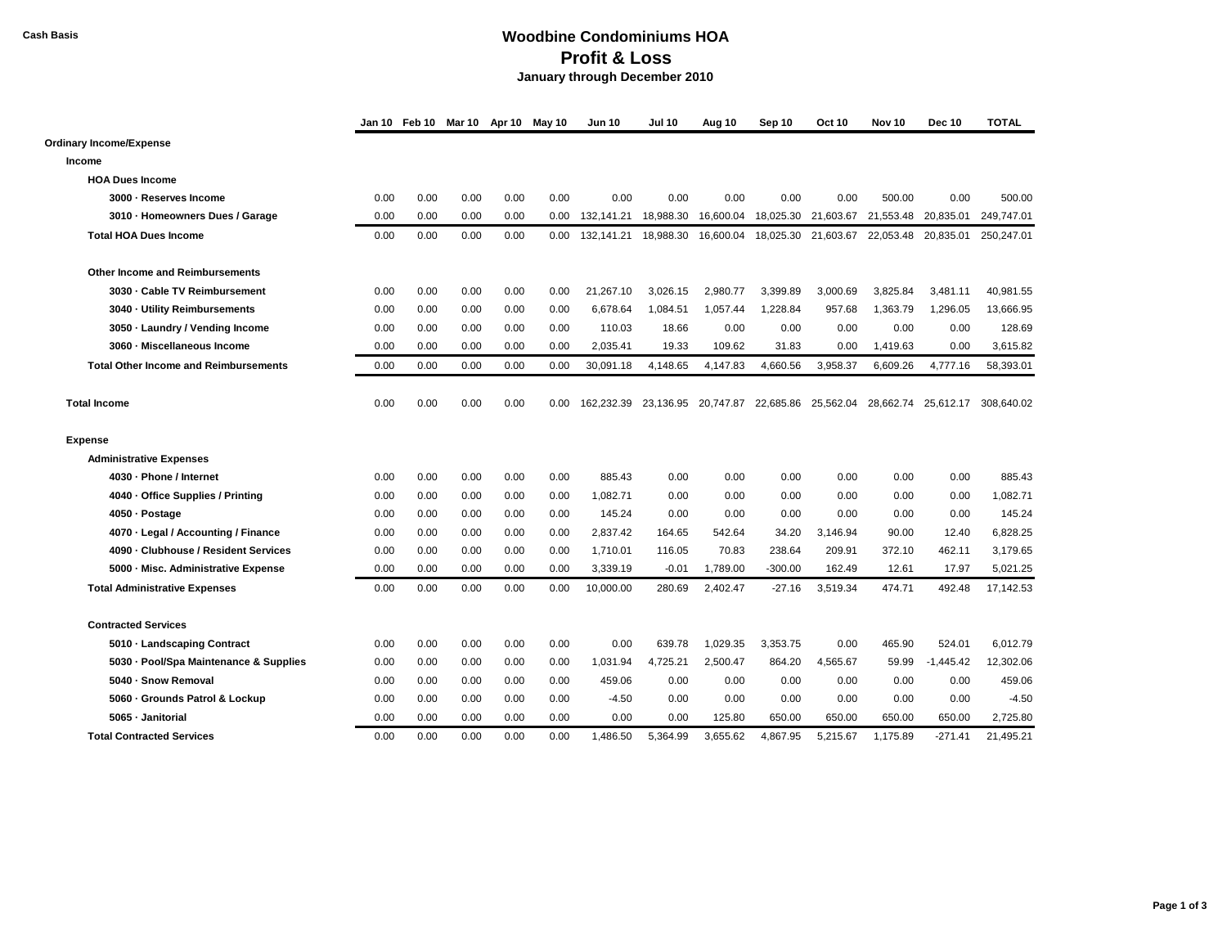## **Cash Basis Woodbine Condominiums HOA Profit & Loss January through December 2010**

|                                              |      |      | Jan 10 Feb 10 Mar 10 Apr 10 May 10 |      |                   | Jun 10     | <b>Jul 10</b> | Aug 10              | Sep 10    | Oct 10              | Nov <sub>10</sub> | <b>Dec 10</b>       | <b>TOTAL</b> |
|----------------------------------------------|------|------|------------------------------------|------|-------------------|------------|---------------|---------------------|-----------|---------------------|-------------------|---------------------|--------------|
| Ordinary Income/Expense                      |      |      |                                    |      |                   |            |               |                     |           |                     |                   |                     |              |
| Income                                       |      |      |                                    |      |                   |            |               |                     |           |                     |                   |                     |              |
| <b>HOA Dues Income</b>                       |      |      |                                    |      |                   |            |               |                     |           |                     |                   |                     |              |
| 3000 - Reserves Income                       | 0.00 | 0.00 | 0.00                               | 0.00 | 0.00              | 0.00       | 0.00          | 0.00                | 0.00      | 0.00                | 500.00            | 0.00                | 500.00       |
| 3010 - Homeowners Dues / Garage              | 0.00 | 0.00 | 0.00                               | 0.00 | 0.00 <sub>1</sub> | 132.141.21 | 18.988.30     | 16,600.04           |           | 18,025.30 21,603.67 |                   | 21,553.48 20,835.01 | 249.747.01   |
| <b>Total HOA Dues Income</b>                 | 0.00 | 0.00 | 0.00                               | 0.00 | 0.00              | 132,141.21 | 18,988.30     | 16,600.04           | 18,025.30 | 21,603.67           | 22,053.48         | 20,835.01           | 250,247.01   |
| <b>Other Income and Reimbursements</b>       |      |      |                                    |      |                   |            |               |                     |           |                     |                   |                     |              |
| 3030 - Cable TV Reimbursement                | 0.00 | 0.00 | 0.00                               | 0.00 | 0.00              | 21,267.10  | 3,026.15      | 2,980.77            | 3,399.89  | 3,000.69            | 3,825.84          | 3,481.11            | 40,981.55    |
| 3040 - Utility Reimbursements                | 0.00 | 0.00 | 0.00                               | 0.00 | 0.00              | 6,678.64   | 1,084.51      | 1,057.44            | 1.228.84  | 957.68              | 1,363.79          | 1,296.05            | 13,666.95    |
| 3050 - Laundry / Vending Income              | 0.00 | 0.00 | 0.00                               | 0.00 | 0.00              | 110.03     | 18.66         | 0.00                | 0.00      | 0.00                | 0.00              | 0.00                | 128.69       |
| 3060 - Miscellaneous Income                  | 0.00 | 0.00 | 0.00                               | 0.00 | 0.00              | 2,035.41   | 19.33         | 109.62              | 31.83     | 0.00                | 1,419.63          | 0.00                | 3,615.82     |
| <b>Total Other Income and Reimbursements</b> | 0.00 | 0.00 | 0.00                               | 0.00 | 0.00              | 30,091.18  | 4,148.65      | 4,147.83            | 4,660.56  | 3,958.37            | 6,609.26          | 4,777.16            | 58,393.01    |
| <b>Total Income</b>                          | 0.00 | 0.00 | 0.00                               | 0.00 | 0.00              | 162,232.39 |               | 23,136.95 20,747.87 |           | 22,685.86 25,562.04 | 28,662.74         | 25.612.17           | 308.640.02   |
| <b>Expense</b>                               |      |      |                                    |      |                   |            |               |                     |           |                     |                   |                     |              |
| <b>Administrative Expenses</b>               |      |      |                                    |      |                   |            |               |                     |           |                     |                   |                     |              |
| 4030 - Phone / Internet                      | 0.00 | 0.00 | 0.00                               | 0.00 | 0.00              | 885.43     | 0.00          | 0.00                | 0.00      | 0.00                | 0.00              | 0.00                | 885.43       |
| 4040 - Office Supplies / Printing            | 0.00 | 0.00 | 0.00                               | 0.00 | 0.00              | 1,082.71   | 0.00          | 0.00                | 0.00      | 0.00                | 0.00              | 0.00                | 1,082.71     |
| 4050 - Postage                               | 0.00 | 0.00 | 0.00                               | 0.00 | 0.00              | 145.24     | 0.00          | 0.00                | 0.00      | 0.00                | 0.00              | 0.00                | 145.24       |
| 4070 - Legal / Accounting / Finance          | 0.00 | 0.00 | 0.00                               | 0.00 | 0.00              | 2,837.42   | 164.65        | 542.64              | 34.20     | 3,146.94            | 90.00             | 12.40               | 6,828.25     |
| 4090 - Clubhouse / Resident Services         | 0.00 | 0.00 | 0.00                               | 0.00 | 0.00              | 1,710.01   | 116.05        | 70.83               | 238.64    | 209.91              | 372.10            | 462.11              | 3,179.65     |
| 5000 - Misc. Administrative Expense          | 0.00 | 0.00 | 0.00                               | 0.00 | 0.00              | 3,339.19   | $-0.01$       | 1,789.00            | $-300.00$ | 162.49              | 12.61             | 17.97               | 5,021.25     |
| <b>Total Administrative Expenses</b>         | 0.00 | 0.00 | 0.00                               | 0.00 | 0.00              | 10,000.00  | 280.69        | 2,402.47            | $-27.16$  | 3,519.34            | 474.71            | 492.48              | 17,142.53    |
| <b>Contracted Services</b>                   |      |      |                                    |      |                   |            |               |                     |           |                     |                   |                     |              |
| 5010 - Landscaping Contract                  | 0.00 | 0.00 | 0.00                               | 0.00 | 0.00              | 0.00       | 639.78        | 1.029.35            | 3.353.75  | 0.00                | 465.90            | 524.01              | 6.012.79     |
| 5030 - Pool/Spa Maintenance & Supplies       | 0.00 | 0.00 | 0.00                               | 0.00 | 0.00              | 1,031.94   | 4,725.21      | 2,500.47            | 864.20    | 4,565.67            | 59.99             | $-1,445.42$         | 12,302.06    |
| 5040 - Snow Removal                          | 0.00 | 0.00 | 0.00                               | 0.00 | 0.00              | 459.06     | 0.00          | 0.00                | 0.00      | 0.00                | 0.00              | 0.00                | 459.06       |
| 5060 - Grounds Patrol & Lockup               | 0.00 | 0.00 | 0.00                               | 0.00 | 0.00              | $-4.50$    | 0.00          | 0.00                | 0.00      | 0.00                | 0.00              | 0.00                | $-4.50$      |
| 5065 - Janitorial                            | 0.00 | 0.00 | 0.00                               | 0.00 | 0.00              | 0.00       | 0.00          | 125.80              | 650.00    | 650.00              | 650.00            | 650.00              | 2.725.80     |
| <b>Total Contracted Services</b>             | 0.00 | 0.00 | 0.00                               | 0.00 | 0.00              | 1.486.50   | 5.364.99      | 3.655.62            | 4.867.95  | 5.215.67            | 1.175.89          | $-271.41$           | 21.495.21    |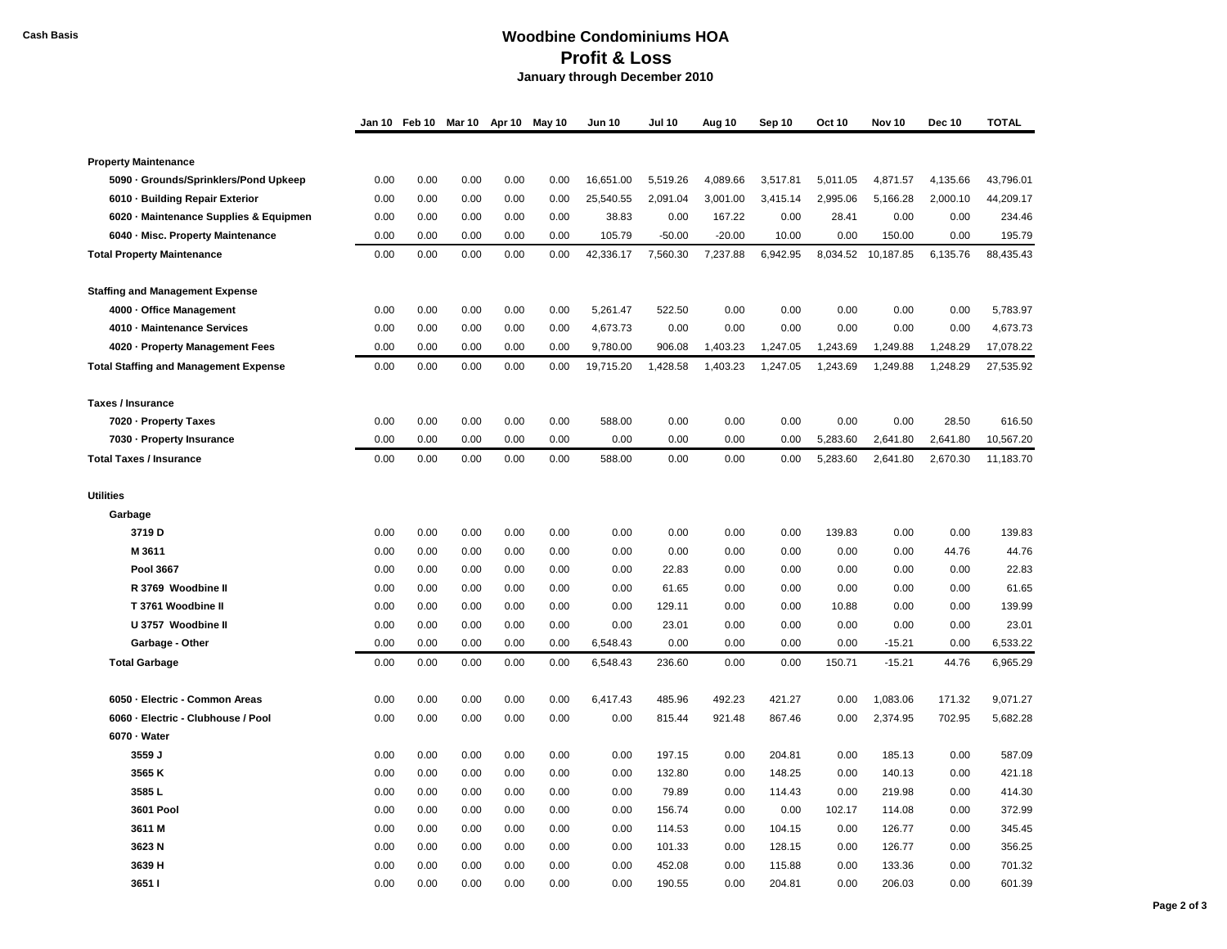## **Cash Basis Woodbine Condominiums HOA Profit & Loss January through December 2010**

|                                              | Jan 10 Feb 10 |      | Mar 10 Apr 10 |      | May 10 | <b>Jun 10</b> | <b>Jul 10</b> | Aug 10   | Sep 10   | Oct 10   | Nov 10    | <b>Dec 10</b> | <b>TOTAL</b> |
|----------------------------------------------|---------------|------|---------------|------|--------|---------------|---------------|----------|----------|----------|-----------|---------------|--------------|
|                                              |               |      |               |      |        |               |               |          |          |          |           |               |              |
| <b>Property Maintenance</b>                  |               |      |               |      |        |               |               |          |          |          |           |               |              |
| 5090 Grounds/Sprinklers/Pond Upkeep          | 0.00          | 0.00 | 0.00          | 0.00 | 0.00   | 16,651.00     | 5,519.26      | 4,089.66 | 3,517.81 | 5,011.05 | 4,871.57  | 4,135.66      | 43,796.01    |
| 6010 - Building Repair Exterior              | 0.00          | 0.00 | 0.00          | 0.00 | 0.00   | 25,540.55     | 2,091.04      | 3,001.00 | 3,415.14 | 2,995.06 | 5,166.28  | 2,000.10      | 44,209.17    |
| 6020 Maintenance Supplies & Equipmen         | 0.00          | 0.00 | 0.00          | 0.00 | 0.00   | 38.83         | 0.00          | 167.22   | 0.00     | 28.41    | 0.00      | 0.00          | 234.46       |
| 6040 - Misc. Property Maintenance            | 0.00          | 0.00 | 0.00          | 0.00 | 0.00   | 105.79        | $-50.00$      | $-20.00$ | 10.00    | 0.00     | 150.00    | 0.00          | 195.79       |
| <b>Total Property Maintenance</b>            | 0.00          | 0.00 | 0.00          | 0.00 | 0.00   | 42,336.17     | 7,560.30      | 7,237.88 | 6,942.95 | 8,034.52 | 10,187.85 | 6,135.76      | 88,435.43    |
| <b>Staffing and Management Expense</b>       |               |      |               |      |        |               |               |          |          |          |           |               |              |
| 4000 - Office Management                     | 0.00          | 0.00 | 0.00          | 0.00 | 0.00   | 5,261.47      | 522.50        | 0.00     | 0.00     | 0.00     | 0.00      | 0.00          | 5,783.97     |
| 4010 - Maintenance Services                  | 0.00          | 0.00 | 0.00          | 0.00 | 0.00   | 4,673.73      | 0.00          | 0.00     | 0.00     | 0.00     | 0.00      | 0.00          | 4,673.73     |
| 4020 - Property Management Fees              | 0.00          | 0.00 | 0.00          | 0.00 | 0.00   | 9,780.00      | 906.08        | 1,403.23 | 1,247.05 | 1,243.69 | 1,249.88  | 1,248.29      | 17,078.22    |
| <b>Total Staffing and Management Expense</b> | 0.00          | 0.00 | 0.00          | 0.00 | 0.00   | 19,715.20     | 1,428.58      | 1,403.23 | 1,247.05 | 1,243.69 | 1,249.88  | 1,248.29      | 27,535.92    |
| <b>Taxes / Insurance</b>                     |               |      |               |      |        |               |               |          |          |          |           |               |              |
| 7020 - Property Taxes                        | 0.00          | 0.00 | 0.00          | 0.00 | 0.00   | 588.00        | 0.00          | 0.00     | 0.00     | 0.00     | 0.00      | 28.50         | 616.50       |
| 7030 - Property Insurance                    | 0.00          | 0.00 | 0.00          | 0.00 | 0.00   | 0.00          | 0.00          | 0.00     | 0.00     | 5,283.60 | 2,641.80  | 2,641.80      | 10,567.20    |
| <b>Total Taxes / Insurance</b>               | 0.00          | 0.00 | 0.00          | 0.00 | 0.00   | 588.00        | 0.00          | 0.00     | 0.00     | 5,283.60 | 2,641.80  | 2,670.30      | 11,183.70    |
| <b>Utilities</b>                             |               |      |               |      |        |               |               |          |          |          |           |               |              |
| Garbage                                      |               |      |               |      |        |               |               |          |          |          |           |               |              |
| 3719 D                                       | 0.00          | 0.00 | 0.00          | 0.00 | 0.00   | 0.00          | 0.00          | 0.00     | 0.00     | 139.83   | 0.00      | 0.00          | 139.83       |
| M 3611                                       | 0.00          | 0.00 | 0.00          | 0.00 | 0.00   | 0.00          | 0.00          | 0.00     | 0.00     | 0.00     | 0.00      | 44.76         | 44.76        |
| <b>Pool 3667</b>                             | 0.00          | 0.00 | 0.00          | 0.00 | 0.00   | 0.00          | 22.83         | 0.00     | 0.00     | 0.00     | 0.00      | 0.00          | 22.83        |
| R 3769 Woodbine II                           | 0.00          | 0.00 | 0.00          | 0.00 | 0.00   | 0.00          | 61.65         | 0.00     | 0.00     | 0.00     | 0.00      | 0.00          | 61.65        |
| T 3761 Woodbine II                           | 0.00          | 0.00 | 0.00          | 0.00 | 0.00   | 0.00          | 129.11        | 0.00     | 0.00     | 10.88    | 0.00      | 0.00          | 139.99       |
| U 3757 Woodbine II                           | 0.00          | 0.00 | 0.00          | 0.00 | 0.00   | 0.00          | 23.01         | 0.00     | 0.00     | 0.00     | 0.00      | 0.00          | 23.01        |
| Garbage - Other                              | 0.00          | 0.00 | 0.00          | 0.00 | 0.00   | 6,548.43      | 0.00          | 0.00     | 0.00     | 0.00     | $-15.21$  | 0.00          | 6,533.22     |
| <b>Total Garbage</b>                         | 0.00          | 0.00 | 0.00          | 0.00 | 0.00   | 6,548.43      | 236.60        | 0.00     | 0.00     | 150.71   | $-15.21$  | 44.76         | 6,965.29     |
| 6050 - Electric - Common Areas               | 0.00          | 0.00 | 0.00          | 0.00 | 0.00   | 6,417.43      | 485.96        | 492.23   | 421.27   | 0.00     | 1,083.06  | 171.32        | 9,071.27     |
| 6060 - Electric - Clubhouse / Pool           | 0.00          | 0.00 | 0.00          | 0.00 | 0.00   | 0.00          | 815.44        | 921.48   | 867.46   | 0.00     | 2,374.95  | 702.95        | 5,682.28     |
| 6070 - Water                                 |               |      |               |      |        |               |               |          |          |          |           |               |              |
| 3559 J                                       | 0.00          | 0.00 | 0.00          | 0.00 | 0.00   | 0.00          | 197.15        | 0.00     | 204.81   | 0.00     | 185.13    | 0.00          | 587.09       |
| 3565K                                        | 0.00          | 0.00 | 0.00          | 0.00 | 0.00   | 0.00          | 132.80        | 0.00     | 148.25   | 0.00     | 140.13    | 0.00          | 421.18       |
| 3585L                                        | 0.00          | 0.00 | 0.00          | 0.00 | 0.00   | 0.00          | 79.89         | 0.00     | 114.43   | 0.00     | 219.98    | 0.00          | 414.30       |
| <b>3601 Pool</b>                             | 0.00          | 0.00 | 0.00          | 0.00 | 0.00   | 0.00          | 156.74        | 0.00     | 0.00     | 102.17   | 114.08    | 0.00          | 372.99       |
| 3611 M                                       | 0.00          | 0.00 | 0.00          | 0.00 | 0.00   | 0.00          | 114.53        | 0.00     | 104.15   | 0.00     | 126.77    | 0.00          | 345.45       |
| 3623N                                        | 0.00          | 0.00 | 0.00          | 0.00 | 0.00   | 0.00          | 101.33        | 0.00     | 128.15   | 0.00     | 126.77    | 0.00          | 356.25       |
| 3639 H                                       | 0.00          | 0.00 | 0.00          | 0.00 | 0.00   | 0.00          | 452.08        | 0.00     | 115.88   | 0.00     | 133.36    | 0.00          | 701.32       |
| 36511                                        | 0.00          | 0.00 | 0.00          | 0.00 | 0.00   | 0.00          | 190.55        | 0.00     | 204.81   | 0.00     | 206.03    | 0.00          | 601.39       |